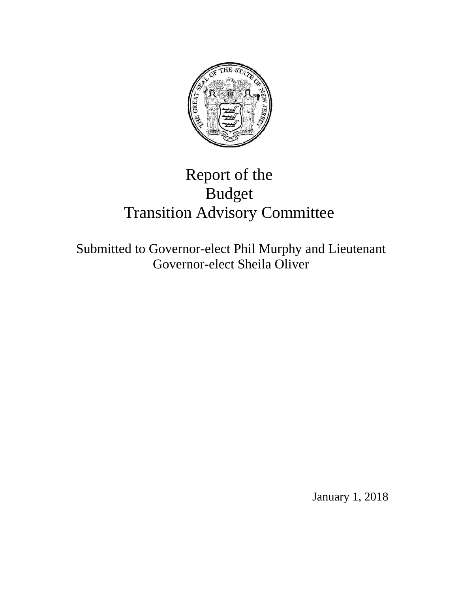

# Report of the Budget Transition Advisory Committee

Submitted to Governor-elect Phil Murphy and Lieutenant Governor-elect Sheila Oliver

January 1, 2018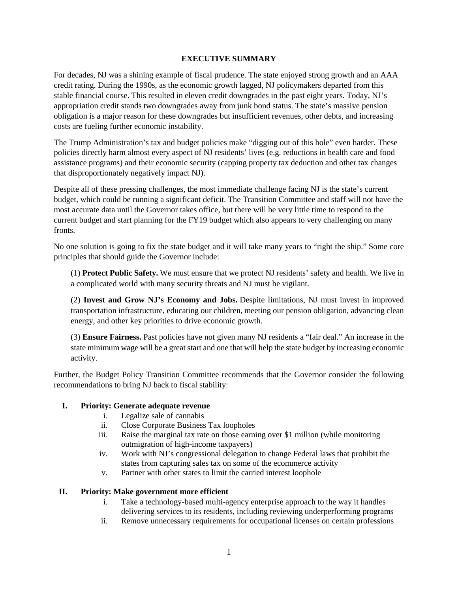## **EXECUTIVE SUMMARY**

For decades, NJ was a shining example of fiscal prudence. The state enjoyed strong growth and an AAA credit rating. During the 1990s, as the economic growth lagged, NJ policymakers departed from this stable financial course. This resulted in eleven credit downgrades in the past eight years. Today, NJ's appropriation credit stands two downgrades away from junk bond status. The state's massive pension obligation is a major reason for these downgrades but insufficient revenues, other debts, and increasing costs are fueling further economic instability.

The Trump Administration's tax and budget policies make "digging out of this hole" even harder. These policies directly harm almost every aspect of NJ residents' lives (e.g. reductions in health care and food assistance programs) and their economic security (capping property tax deduction and other tax changes that disproportionately negatively impact NJ).

Despite all of these pressing challenges, the most immediate challenge facing NJ is the state's current budget, which could be running a significant deficit. The Transition Committee and staff will not have the most accurate data until the Governor takes office, but there will be very little time to respond to the current budget and start planning for the FY19 budget which also appears to very challenging on many fronts.

No one solution is going to fix the state budget and it will take many years to "right the ship." Some core principles that should guide the Governor include:

(1) **Protect Public Safety.** We must ensure that we protect NJ residents' safety and health. We live in a complicated world with many security threats and NJ must be vigilant.

(2) **Invest and Grow NJ's Economy and Jobs.** Despite limitations, NJ must invest in improved transportation infrastructure, educating our children, meeting our pension obligation, advancing clean energy, and other key priorities to drive economic growth.

(3) **Ensure Fairness.** Past policies have not given many NJ residents a "fair deal." An increase in the state minimum wage will be a great start and one that will help the state budget by increasing economic activity.

Further, the Budget Policy Transition Committee recommends that the Governor consider the following recommendations to bring NJ back to fiscal stability:

## **I. Priority: Generate adequate revenue**

- i. Legalize sale of cannabis
- ii. Close Corporate Business Tax loopholes
- iii. Raise the marginal tax rate on those earning over \$1 million (while monitoring outmigration of high-income taxpayers)
- iv. Work with NJ's congressional delegation to change Federal laws that prohibit the states from capturing sales tax on some of the ecommerce activity
- v. Partner with other states to limit the carried interest loophole

## **II. Priority: Make government more efficient**

- i. Take a technology-based multi-agency enterprise approach to the way it handles delivering services to its residents, including reviewing underperforming programs
- ii. Remove unnecessary requirements for occupational licenses on certain professions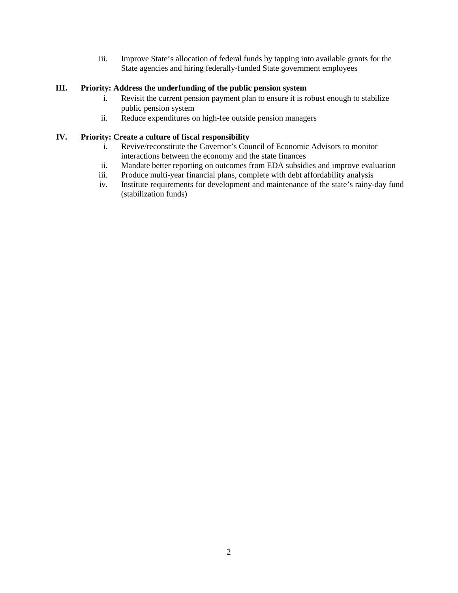iii. Improve State's allocation of federal funds by tapping into available grants for the State agencies and hiring federally-funded State government employees

## **III. Priority: Address the underfunding of the public pension system**

- i. Revisit the current pension payment plan to ensure it is robust enough to stabilize public pension system
- ii. Reduce expenditures on high-fee outside pension managers

## **IV. Priority: Create a culture of fiscal responsibility**

- i. Revive/reconstitute the Governor's Council of Economic Advisors to monitor interactions between the economy and the state finances
- ii. Mandate better reporting on outcomes from EDA subsidies and improve evaluation
- iii. Produce multi-year financial plans, complete with debt affordability analysis
- iv. Institute requirements for development and maintenance of the state's rainy-day fund (stabilization funds)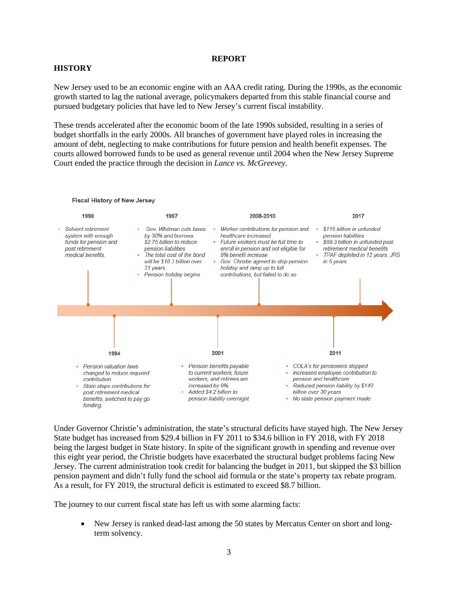#### **REPORT**

## **HISTORY**

New Jersey used to be an economic engine with an AAA credit rating. During the 1990s, as the economic growth started to lag the national average, policymakers departed from this stable financial course and pursued budgetary policies that have led to New Jersey's current fiscal instability.

These trends accelerated after the economic boom of the late 1990s subsided, resulting in a series of budget shortfalls in the early 2000s. All branches of government have played roles in increasing the amount of debt, neglecting to make contributions for future pension and health benefit expenses. The courts allowed borrowed funds to be used as general revenue until 2004 when the New Jersey Supreme Court ended the practice through the decision in *Lance vs. McGreevey.*



#### **Fiscal History of New Jersey**

Under Governor Christie's administration, the state's structural deficits have stayed high. The New Jersey State budget has increased from \$29.4 billion in FY 2011 to \$34.6 billion in FY 2018, with FY 2018 being the largest budget in State history. In spite of the significant growth in spending and revenue over this eight year period, the Christie budgets have exacerbated the structural budget problems facing New Jersey. The current administration took credit for balancing the budget in 2011, but skipped the \$3 billion pension payment and didn't fully fund the school aid formula or the state's property tax rebate program. As a result, for FY 2019, the structural deficit is estimated to exceed \$8.7 billion.

The journey to our current fiscal state has left us with some alarming facts:

• New Jersey is ranked dead-last among the 50 states by Mercatus Center on short and longterm solvency.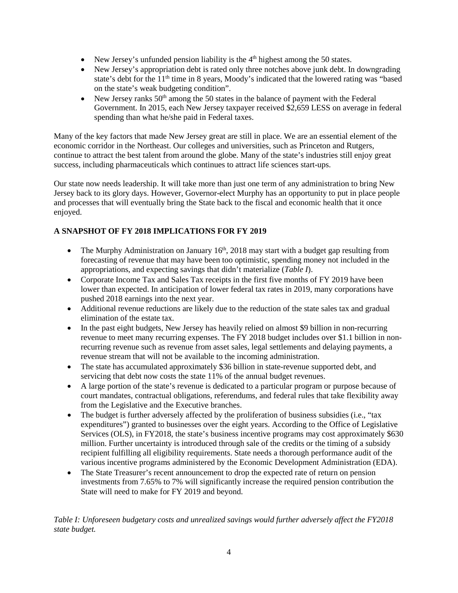- New Jersey's unfunded pension liability is the  $4<sup>th</sup>$  highest among the 50 states.
- New Jersey's appropriation debt is rated only three notches above junk debt. In downgrading state's debt for the 11<sup>th</sup> time in 8 years, Moody's indicated that the lowered rating was "based on the state's weak budgeting condition".
- New Jersey ranks  $50<sup>th</sup>$  among the 50 states in the balance of payment with the Federal Government. In 2015, each New Jersey taxpayer received \$2,659 LESS on average in federal spending than what he/she paid in Federal taxes.

Many of the key factors that made New Jersey great are still in place. We are an essential element of the economic corridor in the Northeast. Our colleges and universities, such as Princeton and Rutgers, continue to attract the best talent from around the globe. Many of the state's industries still enjoy great success, including pharmaceuticals which continues to attract life sciences start-ups.

Our state now needs leadership. It will take more than just one term of any administration to bring New Jersey back to its glory days. However, Governor-elect Murphy has an opportunity to put in place people and processes that will eventually bring the State back to the fiscal and economic health that it once enjoyed.

## **A SNAPSHOT OF FY 2018 IMPLICATIONS FOR FY 2019**

- The Murphy Administration on January  $16<sup>th</sup>$ , 2018 may start with a budget gap resulting from forecasting of revenue that may have been too optimistic, spending money not included in the appropriations, and expecting savings that didn't materialize (*Table I*).
- Corporate Income Tax and Sales Tax receipts in the first five months of FY 2019 have been lower than expected. In anticipation of lower federal tax rates in 2019, many corporations have pushed 2018 earnings into the next year.
- Additional revenue reductions are likely due to the reduction of the state sales tax and gradual elimination of the estate tax.
- In the past eight budgets, New Jersey has heavily relied on almost \$9 billion in non-recurring revenue to meet many recurring expenses. The FY 2018 budget includes over \$1.1 billion in nonrecurring revenue such as revenue from asset sales, legal settlements and delaying payments, a revenue stream that will not be available to the incoming administration.
- The state has accumulated approximately \$36 billion in state-revenue supported debt, and servicing that debt now costs the state 11% of the annual budget revenues.
- A large portion of the state's revenue is dedicated to a particular program or purpose because of court mandates, contractual obligations, referendums, and federal rules that take flexibility away from the Legislative and the Executive branches.
- The budget is further adversely affected by the proliferation of business subsidies (i.e., "tax" expenditures") granted to businesses over the eight years. According to the Office of Legislative Services (OLS), in FY2018, the state's business incentive programs may cost approximately \$630 million. Further uncertainty is introduced through sale of the credits or the timing of a subsidy recipient fulfilling all eligibility requirements. State needs a thorough performance audit of the various incentive programs administered by the Economic Development Administration (EDA).
- The State Treasurer's recent announcement to drop the expected rate of return on pension investments from 7.65% to 7% will significantly increase the required pension contribution the State will need to make for FY 2019 and beyond.

*Table I: Unforeseen budgetary costs and unrealized savings would further adversely affect the FY2018 state budget.*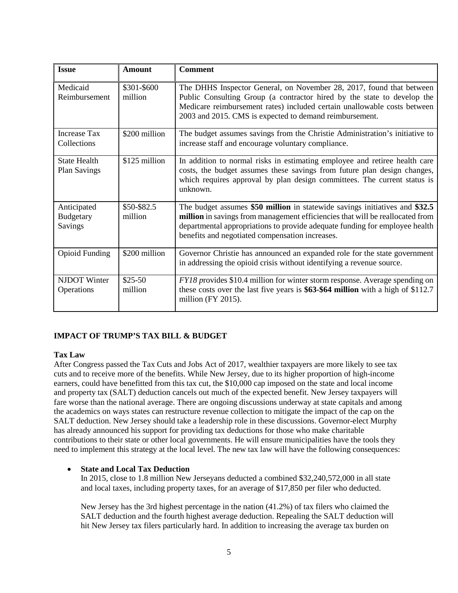| <b>Issue</b>                               | Amount                 | <b>Comment</b>                                                                                                                                                                                                                                                                                 |
|--------------------------------------------|------------------------|------------------------------------------------------------------------------------------------------------------------------------------------------------------------------------------------------------------------------------------------------------------------------------------------|
| Medicaid<br>Reimbursement                  | \$301-\$600<br>million | The DHHS Inspector General, on November 28, 2017, found that between<br>Public Consulting Group (a contractor hired by the state to develop the<br>Medicare reimbursement rates) included certain unallowable costs between<br>2003 and 2015. CMS is expected to demand reimbursement.         |
| <b>Increase Tax</b><br>Collections         | \$200 million          | The budget assumes savings from the Christie Administration's initiative to<br>increase staff and encourage voluntary compliance.                                                                                                                                                              |
| <b>State Health</b><br><b>Plan Savings</b> | \$125 million          | In addition to normal risks in estimating employee and retiree health care<br>costs, the budget assumes these savings from future plan design changes,<br>which requires approval by plan design committees. The current status is<br>unknown.                                                 |
| Anticipated<br><b>Budgetary</b><br>Savings | \$50-\$82.5<br>million | The budget assumes \$50 million in statewide savings initiatives and \$32.5<br>million in savings from management efficiencies that will be reallocated from<br>departmental appropriations to provide adequate funding for employee health<br>benefits and negotiated compensation increases. |
| <b>Opioid Funding</b>                      | \$200 million          | Governor Christie has announced an expanded role for the state government<br>in addressing the opioid crisis without identifying a revenue source.                                                                                                                                             |
| <b>NJDOT</b> Winter<br>Operations          | $$25-50$<br>million    | FY18 provides \$10.4 million for winter storm response. Average spending on<br>these costs over the last five years is \$63-\$64 million with a high of \$112.7<br>million (FY 2015).                                                                                                          |

## **IMPACT OF TRUMP'S TAX BILL & BUDGET**

## **Tax Law**

After Congress passed the Tax Cuts and Jobs Act of 2017, wealthier taxpayers are more likely to see tax cuts and to receive more of the benefits. While New Jersey, due to its higher proportion of high-income earners, could have benefitted from this tax cut, the \$10,000 cap imposed on the state and local income and property tax (SALT) deduction cancels out much of the expected benefit. New Jersey taxpayers will fare worse than the national average. There are ongoing discussions underway at state capitals and among the academics on ways states can restructure revenue collection to mitigate the impact of the cap on the SALT deduction. New Jersey should take a leadership role in these discussions. Governor-elect Murphy has already announced his support for providing tax deductions for those who make charitable contributions to their state or other local governments. He will ensure municipalities have the tools they need to implement this strategy at the local level. The new tax law will have the following consequences:

## • **State and Local Tax Deduction**

In 2015, close to 1.8 million New Jerseyans deducted a combined \$32,240,572,000 in all state and local taxes, including property taxes, for an average of \$17,850 per filer who deducted.

New Jersey has the 3rd highest percentage in the nation (41.2%) of tax filers who claimed the SALT deduction and the fourth highest average deduction. Repealing the SALT deduction will hit New Jersey tax filers particularly hard. In addition to increasing the average tax burden on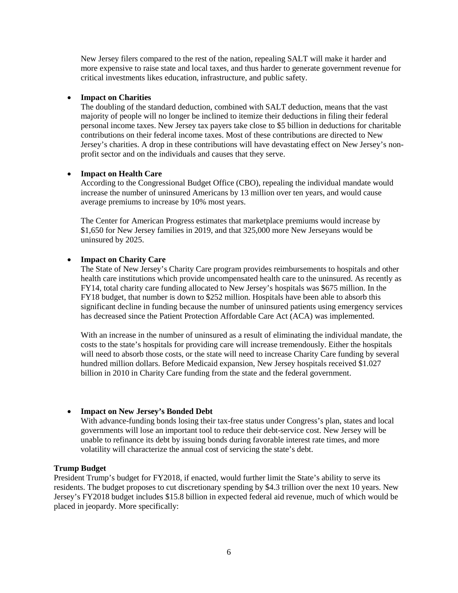New Jersey filers compared to the rest of the nation, repealing SALT will make it harder and more expensive to raise state and local taxes, and thus harder to generate government revenue for critical investments likes education, infrastructure, and public safety.

#### • **Impact on Charities**

The doubling of the standard deduction, combined with SALT deduction, means that the vast majority of people will no longer be inclined to itemize their deductions in filing their federal personal income taxes. New Jersey tax payers take close to \$5 billion in deductions for charitable contributions on their federal income taxes. Most of these contributions are directed to New Jersey's charities. A drop in these contributions will have devastating effect on New Jersey's nonprofit sector and on the individuals and causes that they serve.

#### **Impact on Health Care**

According to the Congressional Budget Office (CBO), repealing the individual mandate would increase the number of uninsured Americans by 13 million over ten years, and would cause average premiums to increase by 10% most years.

The Center for American Progress estimates that marketplace premiums would increase by \$1,650 for New Jersey families in 2019, and that 325,000 more New Jerseyans would be uninsured by 2025.

#### • **Impact on Charity Care**

The State of [New Jersey'](https://en.wikipedia.org/wiki/New_Jersey)s Charity Care program provides reimbursements to hospitals and other health care institutions which provide uncompensated health care to the uninsured. As recently as FY14, total charity care funding allocated to New Jersey's hospitals was \$675 million. In the FY18 budget, that number is down to \$252 million. Hospitals have been able to absorb this significant decline in funding because the number of uninsured patients using emergency services has decreased since the Patient Protection Affordable Care Act (ACA) was implemented.

With an increase in the number of uninsured as a result of eliminating the individual mandate, the costs to the state's hospitals for providing care will increase tremendously. Either the hospitals will need to absorb those costs, or the state will need to increase Charity Care funding by several hundred million dollars. Before Medicaid expansion, New Jersey hospitals received \$1.027 billion in 2010 in Charity Care funding from the state and the federal government.

## • **Impact on New Jersey's Bonded Debt**

With advance-funding bonds losing their tax-free status under Congress's plan, states and local governments will lose an important tool to reduce their debt-service cost. New Jersey will be unable to refinance its debt by issuing bonds during favorable interest rate times, and more volatility will characterize the annual cost of servicing the state's debt.

#### **Trump Budget**

President Trump's budget for FY2018, if enacted, would further limit the State's ability to serve its residents. The budget proposes to cut discretionary spending by \$4.3 trillion over the next 10 years. New Jersey's FY2018 budget includes \$15.8 billion in expected federal aid revenue, much of which would be placed in jeopardy. More specifically: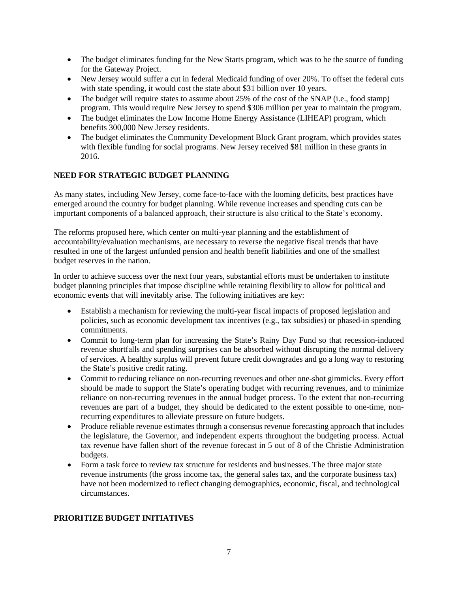- The budget eliminates funding for the New Starts program, which was to be the source of funding for the Gateway Project.
- New Jersey would suffer a cut in federal Medicaid funding of over 20%. To offset the federal cuts with state spending, it would cost the state about \$31 billion over 10 years.
- The budget will require states to assume about 25% of the cost of the SNAP (i.e., food stamp) program. This would require New Jersey to spend \$306 million per year to maintain the program.
- The budget eliminates the Low Income Home Energy Assistance (LIHEAP) program, which benefits 300,000 New Jersey residents.
- The budget eliminates the Community Development Block Grant program, which provides states with flexible funding for social programs. New Jersey received \$81 million in these grants in 2016.

## **NEED FOR STRATEGIC BUDGET PLANNING**

As many states, including New Jersey, come face-to-face with the looming deficits, best practices have emerged around the country for budget planning. While revenue increases and spending cuts can be important components of a balanced approach, their structure is also critical to the State's economy.

The reforms proposed here, which center on multi-year planning and the establishment of accountability/evaluation mechanisms, are necessary to reverse the negative fiscal trends that have resulted in one of the largest unfunded pension and health benefit liabilities and one of the smallest budget reserves in the nation.

In order to achieve success over the next four years, substantial efforts must be undertaken to institute budget planning principles that impose discipline while retaining flexibility to allow for political and economic events that will inevitably arise. The following initiatives are key:

- Establish a mechanism for reviewing the multi-year fiscal impacts of proposed legislation and policies, such as economic development tax incentives (e.g., tax subsidies) or phased-in spending commitments.
- Commit to long-term plan for increasing the State's Rainy Day Fund so that recession-induced revenue shortfalls and spending surprises can be absorbed without disrupting the normal delivery of services. A healthy surplus will prevent future credit downgrades and go a long way to restoring the State's positive credit rating.
- Commit to reducing reliance on non-recurring revenues and other one-shot gimmicks. Every effort should be made to support the State's operating budget with recurring revenues, and to minimize reliance on non-recurring revenues in the annual budget process. To the extent that non-recurring revenues are part of a budget, they should be dedicated to the extent possible to one-time, nonrecurring expenditures to alleviate pressure on future budgets.
- Produce reliable revenue estimates through a consensus revenue forecasting approach that includes the legislature, the Governor, and independent experts throughout the budgeting process. Actual tax revenue have fallen short of the revenue forecast in 5 out of 8 of the Christie Administration budgets.
- Form a task force to review tax structure for residents and businesses. The three major state revenue instruments (the gross income tax, the general sales tax, and the corporate business tax) have not been modernized to reflect changing demographics, economic, fiscal, and technological circumstances.

## **PRIORITIZE BUDGET INITIATIVES**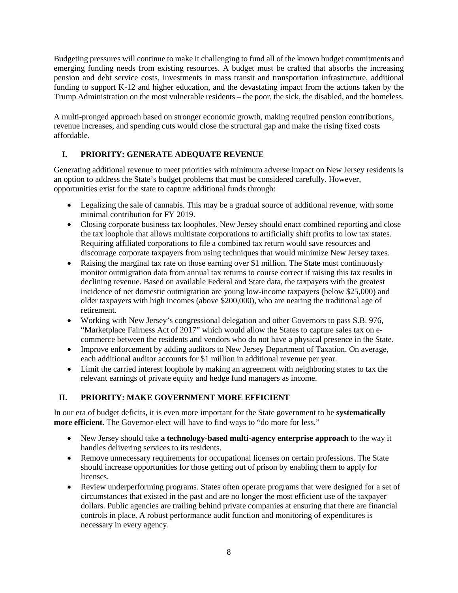Budgeting pressures will continue to make it challenging to fund all of the known budget commitments and emerging funding needs from existing resources. A budget must be crafted that absorbs the increasing pension and debt service costs, investments in mass transit and transportation infrastructure, additional funding to support K-12 and higher education, and the devastating impact from the actions taken by the Trump Administration on the most vulnerable residents – the poor, the sick, the disabled, and the homeless.

A multi-pronged approach based on stronger economic growth, making required pension contributions, revenue increases, and spending cuts would close the structural gap and make the rising fixed costs affordable.

# **I. PRIORITY: GENERATE ADEQUATE REVENUE**

Generating additional revenue to meet priorities with minimum adverse impact on New Jersey residents is an option to address the State's budget problems that must be considered carefully. However, opportunities exist for the state to capture additional funds through:

- Legalizing the sale of cannabis. This may be a gradual source of additional revenue, with some minimal contribution for FY 2019.
- Closing corporate business tax loopholes. New Jersey should enact combined reporting and close the tax loophole that allows multistate corporations to artificially shift profits to low tax states. Requiring affiliated corporations to file a combined tax return would save resources and discourage corporate taxpayers from using techniques that would minimize New Jersey taxes.
- Raising the marginal tax rate on those earning over \$1 million. The State must continuously monitor outmigration data from annual tax returns to course correct if raising this tax results in declining revenue. Based on available Federal and State data, the taxpayers with the greatest incidence of net domestic outmigration are young low-income taxpayers (below \$25,000) and older taxpayers with high incomes (above \$200,000), who are nearing the traditional age of retirement.
- Working with New Jersey's congressional delegation and other Governors to pass S.B. 976, "Marketplace Fairness Act of 2017" which would allow the States to capture sales tax on ecommerce between the residents and vendors who do not have a physical presence in the State.
- Improve enforcement by adding auditors to New Jersey Department of Taxation. On average, each additional auditor accounts for \$1 million in additional revenue per year.
- Limit the carried interest loophole by making an agreement with neighboring states to tax the relevant earnings of private equity and hedge fund managers as income.

# **II. PRIORITY: MAKE GOVERNMENT MORE EFFICIENT**

In our era of budget deficits, it is even more important for the State government to be **systematically more efficient**. The Governor-elect will have to find ways to "do more for less."

- New Jersey should take **a technology-based multi-agency enterprise approach** to the way it handles delivering services to its residents.
- Remove unnecessary requirements for occupational licenses on certain professions. The State should increase opportunities for those getting out of prison by enabling them to apply for licenses.
- Review underperforming programs. States often operate programs that were designed for a set of circumstances that existed in the past and are no longer the most efficient use of the taxpayer dollars. Public agencies are trailing behind private companies at ensuring that there are financial controls in place. A robust performance audit function and monitoring of expenditures is necessary in every agency.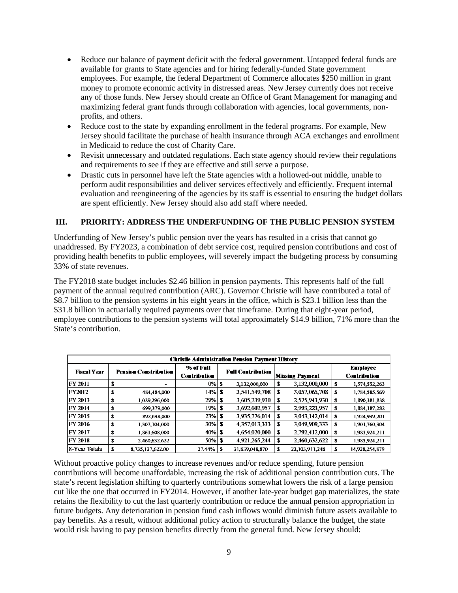- Reduce our balance of payment deficit with the federal government. Untapped federal funds are available for grants to State agencies and for hiring federally-funded State government employees. For example, the federal Department of Commerce allocates \$250 million in grant money to promote economic activity in distressed areas. New Jersey currently does not receive any of those funds. New Jersey should create an Office of Grant Management for managing and maximizing federal grant funds through collaboration with agencies, local governments, nonprofits, and others.
- Reduce cost to the state by expanding enrollment in the federal programs. For example, New Jersey should facilitate the purchase of health insurance through ACA exchanges and enrollment in Medicaid to reduce the cost of Charity Care.
- Revisit unnecessary and outdated regulations. Each state agency should review their regulations and requirements to see if they are effective and still serve a purpose.
- Drastic cuts in personnel have left the State agencies with a hollowed-out middle, unable to perform audit responsibilities and deliver services effectively and efficiently. Frequent internal evaluation and reengineering of the agencies by its staff is essential to ensuring the budget dollars are spent efficiently. New Jersey should also add staff where needed.

## **III. PRIORITY: ADDRESS THE UNDERFUNDING OF THE PUBLIC PENSION SYSTEM**

Underfunding of New Jersey's public pension over the years has resulted in a crisis that cannot go unaddressed. By FY2023, a combination of debt service cost, required pension contributions and cost of providing health benefits to public employees, will severely impact the budgeting process by consuming 33% of state revenues.

The FY2018 state budget includes \$2.46 billion in pension payments. This represents half of the full payment of the annual required contribution (ARC). Governor Christie will have contributed a total of \$8.7 billion to the pension systems in his eight years in the office, which is \$23.1 billion less than the \$31.8 billion in actuarially required payments over that timeframe. During that eight-year period, employee contributions to the pension systems will total approximately \$14.9 billion, 71% more than the State's contribution.

| <b>Christie Administration Pension Payment History</b> |                              |                  |                           |  |                          |   |                        |    |                                 |  |  |
|--------------------------------------------------------|------------------------------|------------------|---------------------------|--|--------------------------|---|------------------------|----|---------------------------------|--|--|
| <b>Fiscal Year</b>                                     | <b>Pension Constribution</b> |                  | % of Full<br>Contribution |  | <b>Full Contribution</b> |   | <b>Missing Payment</b> |    | Employee<br><b>Contribution</b> |  |  |
| <b>IFY 2011</b>                                        | ъ                            | -                | $0\%$   s                 |  | 3,132,000,000            | х | 3,132,000,000          | s  | 1,574,552,263                   |  |  |
| <b>FY2012</b>                                          | S                            | 484,484,000      | $14\%$ $\pm$              |  | 3,541,549,708            | з | 3,057,065,708          | S  | 1,784,585,569                   |  |  |
| <b>FY 2013</b>                                         | \$                           | 1,029,296,000    | 29%1                      |  | 3,605,239,930            | з | 2.575.943.930          | S  | 1,890,381,838                   |  |  |
| <b>FY 2014</b>                                         | \$                           | 699,379,000      | $19\%$   S                |  | 3,692,602,957            | 5 | 2,993,223,957          | S  | 1,884,187,282                   |  |  |
| <b>FY 2015</b>                                         | \$                           | 892,634,000      | $23%1$ \$                 |  | 3,935,776,014            | Т | 3,043,142,014          | S  | 1,924,939,201                   |  |  |
| <b>FY 2016</b>                                         | \$                           | 1,307,104,000    | $30\%$ \$                 |  | 4,357,013,333            | Т | 3,049,909,333          | s  | 1,901,760,304                   |  |  |
| <b>FY 2017</b>                                         | \$                           | 1,861,608,000    | $40\%$ \$                 |  | 4,654,020,000            | s | 2,792,412,000          | \$ | 1.983.924.211                   |  |  |
| <b>FY 2018</b>                                         | \$                           | 2,460,632,622    | $50\%$ \$                 |  | 4,921,265,244            | ъ | 2,460,632,622          | 3  | 1.983.924.211                   |  |  |
| 8-Year Totals                                          | \$                           | 8,735,137,622.00 |                           |  | 31,839,048,870           | ъ | 23.103.911.248         | S  | 14.928.254.879                  |  |  |

Without proactive policy changes to increase revenues and/or reduce spending, future pension contributions will become unaffordable, increasing the risk of additional pension contribution cuts. The state's recent legislation shifting to quarterly contributions somewhat lowers the risk of a large pension cut like the one that occurred in FY2014. However, if another late-year budget gap materializes, the state retains the flexibility to cut the last quarterly contribution or reduce the annual pension appropriation in future budgets. Any deterioration in pension fund cash inflows would diminish future assets available to pay benefits. As a result, without additional policy action to structurally balance the budget, the state would risk having to pay pension benefits directly from the general fund. New Jersey should: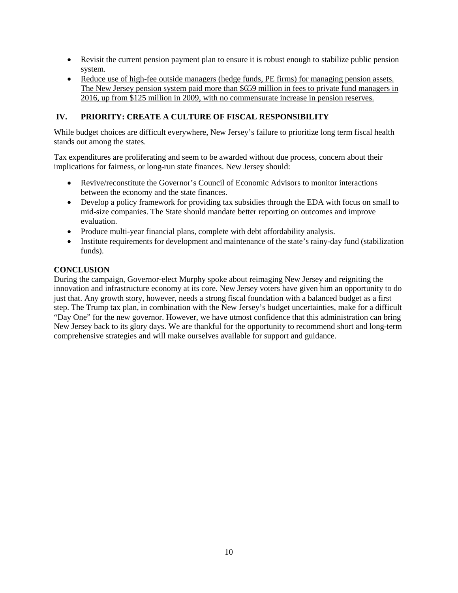- Revisit the current pension payment plan to ensure it is robust enough to stabilize public pension system.
- Reduce use of high-fee outside managers (hedge funds, PE firms) for managing pension assets. The New Jersey pension system paid more than \$659 million in fees to private fund managers in 2016, up from \$125 million in 2009, with no commensurate increase in pension reserves.

# **IV. PRIORITY: CREATE A CULTURE OF FISCAL RESPONSIBILITY**

While budget choices are difficult everywhere, New Jersey's failure to prioritize long term fiscal health stands out among the states.

Tax expenditures are proliferating and seem to be awarded without due process, concern about their implications for fairness, or long-run state finances. New Jersey should:

- Revive/reconstitute the Governor's Council of Economic Advisors to monitor interactions between the economy and the state finances.
- Develop a policy framework for providing tax subsidies through the EDA with focus on small to mid-size companies. The State should mandate better reporting on outcomes and improve evaluation.
- Produce multi-year financial plans, complete with debt affordability analysis.
- Institute requirements for development and maintenance of the state's rainy-day fund (stabilization funds).

## **CONCLUSION**

During the campaign, Governor-elect Murphy spoke about reimaging New Jersey and reigniting the innovation and infrastructure economy at its core. New Jersey voters have given him an opportunity to do just that. Any growth story, however, needs a strong fiscal foundation with a balanced budget as a first step. The Trump tax plan, in combination with the New Jersey's budget uncertainties, make for a difficult "Day One" for the new governor. However, we have utmost confidence that this administration can bring New Jersey back to its glory days. We are thankful for the opportunity to recommend short and long-term comprehensive strategies and will make ourselves available for support and guidance.